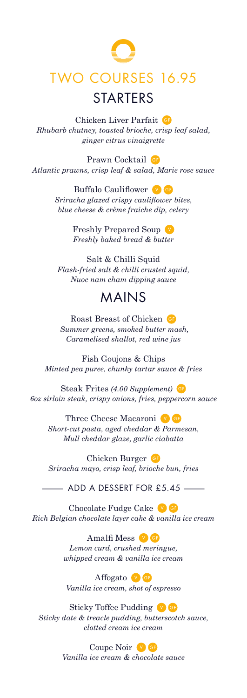## TWO COURSES 16.95 **STARTERS**

Chicken Liver Parfait *Rhubarb chutney, toasted brioche, crisp leaf salad, ginger citrus vinaigrette*

Prawn Cocktail GP *Atlantic prawns, crisp leaf & salad, Marie rose sauce* 

> Buffalo Cauliflower **V**G *Sriracha glazed crispy cauliflower bites, blue cheese & crème fraiche dip, celery*

> > Freshly Prepared Soup *Freshly baked bread & butter*

Salt & Chilli Squid *Flash-fried salt & chilli crusted squid, Nuoc nam cham dipping sauce* 

## MAINS

Roast Breast of Chicken  *Summer greens, smoked butter mash, Caramelised shallot, red wine jus* 

Fish Goujons & Chips *Minted pea puree, chunky tartar sauce & fries*

Steak Frites *(4.00 Supplement) 6oz sirloin steak, crispy onions, fries, peppercorn sauce*

Three Cheese Macaroni<sup>V</sup>G *Short-cut pasta, aged cheddar & Parmesan, Mull cheddar glaze, garlic ciabatta* 

Chicken Burger *Sriracha mayo, crisp leaf, brioche bun, fries* – ADD A DESSERT FOR £5.45 –

Chocolate Fudge Cake *Rich Belgian chocolate layer cake & vanilla ice cream*

> Amalfi Mess **VG** *Lemon curd, crushed meringue, whipped cream & vanilla ice cream*

Affogato **v**G *Vanilla ice cream, shot of espresso*

Sticky Toffee Pudding *Sticky date & treacle pudding, butterscotch sauce, clotted cream ice cream*

> Coupe Noir V G *Vanilla ice cream & chocolate sauce*